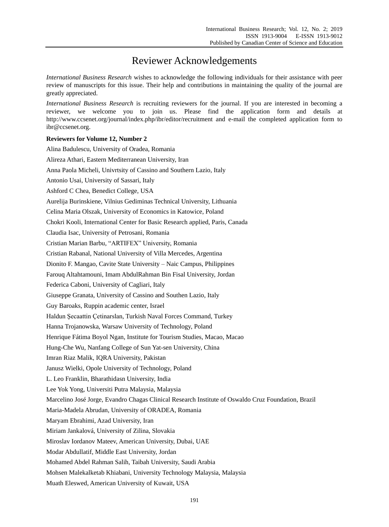## Reviewer Acknowledgements

*International Business Research* wishes to acknowledge the following individuals for their assistance with peer review of manuscripts for this issue. Their help and contributions in maintaining the quality of the journal are greatly appreciated.

*International Business Research* is recruiting reviewers for the journal. If you are interested in becoming a reviewer, we welcome you to join us. Please find the application form and details at http://www.ccsenet.org/journal/index.php/ibr/editor/recruitment and e-mail the completed application form to ibr@ccsenet.org.

## **Reviewers for Volume 12, Number 2**

Alina Badulescu, University of Oradea, Romania Alireza Athari, Eastern Mediterranean University, Iran Anna Paola Micheli, Univrtsity of Cassino and Southern Lazio, Italy Antonio Usai, University of Sassari, Italy Ashford C Chea, Benedict College, USA Aurelija Burinskiene, Vilnius Gediminas Technical University, Lithuania Celina Maria Olszak, University of Economics in Katowice, Poland Chokri Kooli, International Center for Basic Research applied, Paris, Canada Claudia Isac, University of Petrosani, Romania Cristian Marian Barbu, "ARTIFEX" University, Romania Cristian Rabanal, National University of Villa Mercedes, Argentina Dionito F. Mangao, Cavite State University – Naic Campus, Philippines Farouq Altahtamouni, Imam AbdulRahman Bin Fisal University, Jordan Federica Caboni, University of Cagliari, Italy Giuseppe Granata, University of Cassino and Southen Lazio, Italy Guy Baroaks, Ruppin academic center, Israel Haldun Şecaattin Çetinarslan, Turkish Naval Forces Command, Turkey Hanna Trojanowska, Warsaw University of Technology, Poland Henrique Fátima Boyol Ngan, Institute for Tourism Studies, Macao, Macao Hung-Che Wu, Nanfang College of Sun Yat-sen University, China Imran Riaz Malik, IQRA University, Pakistan Janusz Wielki, Opole University of Technology, Poland L. Leo Franklin, Bharathidasn University, India Lee Yok Yong, Universiti Putra Malaysia, Malaysia Marcelino José Jorge, Evandro Chagas Clinical Research Institute of Oswaldo Cruz Foundation, Brazil Maria-Madela Abrudan, University of ORADEA, Romania Maryam Ebrahimi, Azad University, Iran Miriam Jankalová, University of Zilina, Slovakia Miroslav Iordanov Mateev, American University, Dubai, UAE Modar Abdullatif, Middle East University, Jordan Mohamed Abdel Rahman Salih, Taibah University, Saudi Arabia Mohsen Malekalketab Khiabani, University Technology Malaysia, Malaysia Muath Eleswed, American University of Kuwait, USA